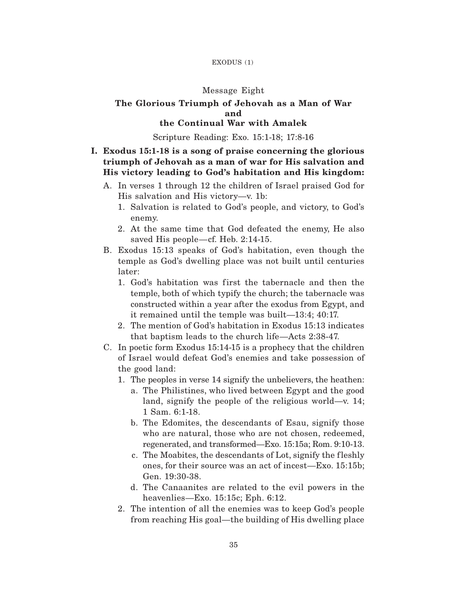### EXODUS (1)

### Message Eight

### **The Glorious Triumph of Jehovah as a Man of War and**

# **the Continual War with Amalek**

Scripture Reading: Exo. 15:1-18; 17:8-16

# **I. Exodus 15:1-18 is a song of praise concerning the glorious triumph of Jehovah as a man of war for His salvation and His victory leading to God's habitation and His kingdom:**

- A. In verses 1 through 12 the children of Israel praised God for His salvation and His victory—v. 1b:
	- 1. Salvation is related to God's people, and victory, to God's enemy.
	- 2. At the same time that God defeated the enemy, He also saved His people—cf. Heb. 2:14-15.
- B. Exodus 15:13 speaks of God's habitation, even though the temple as God's dwelling place was not built until centuries later:
	- 1. God's habitation was first the tabernacle and then the temple, both of which typify the church; the tabernacle was constructed within a year after the exodus from Egypt, and it remained until the temple was built—13:4; 40:17.
	- 2. The mention of God's habitation in Exodus 15:13 indicates that baptism leads to the church life—Acts 2:38-47.
- C. In poetic form Exodus 15:14-15 is a prophecy that the children of Israel would defeat God's enemies and take possession of the good land:
	- 1. The peoples in verse 14 signify the unbelievers, the heathen:
		- a. The Philistines, who lived between Egypt and the good land, signify the people of the religious world—v. 14; 1 Sam. 6:1-18.
		- b. The Edomites, the descendants of Esau, signify those who are natural, those who are not chosen, redeemed, regenerated, and transformed—Exo. 15:15a; Rom. 9:10-13.
		- c. The Moabites, the descendants of Lot, signify the f leshly ones, for their source was an act of incest—Exo. 15:15b; Gen. 19:30-38.
		- d. The Canaanites are related to the evil powers in the heavenlies—Exo. 15:15c; Eph. 6:12.
	- 2. The intention of all the enemies was to keep God's people from reaching His goal—the building of His dwelling place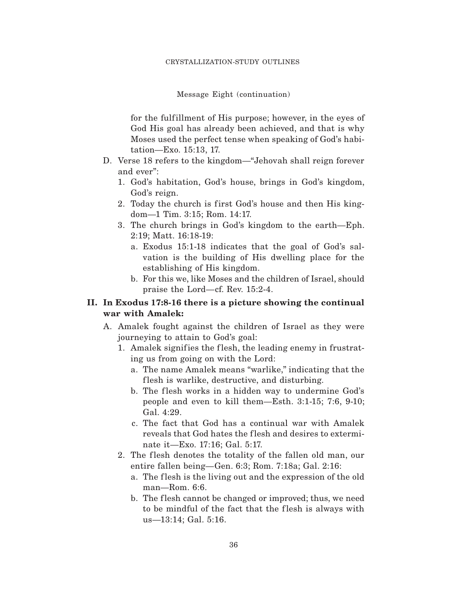#### Message Eight (continuation)

for the fulf illment of His purpose; however, in the eyes of God His goal has already been achieved, and that is why Moses used the perfect tense when speaking of God's habitation—Exo. 15:13, 17.

- D. Verse 18 refers to the kingdom—"Jehovah shall reign forever and ever":
	- 1. God's habitation, God's house, brings in God's kingdom, God's reign.
	- 2. Today the church is first God's house and then His kingdom—1 Tim. 3:15; Rom. 14:17.
	- 3. The church brings in God's kingdom to the earth—Eph. 2:19; Matt. 16:18-19:
		- a. Exodus 15:1-18 indicates that the goal of God's salvation is the building of His dwelling place for the establishing of His kingdom.
		- b. For this we, like Moses and the children of Israel, should praise the Lord—cf. Rev. 15:2-4.

## **II. In Exodus 17:8-16 there is a picture showing the continual war with Amalek:**

- A. Amalek fought against the children of Israel as they were journeying to attain to God's goal:
	- 1. Amalek signifies the flesh, the leading enemy in frustrating us from going on with the Lord:
		- a. The name Amalek means "warlike," indicating that the f lesh is warlike, destructive, and disturbing.
		- b. The flesh works in a hidden way to undermine God's people and even to kill them—Esth. 3:1-15; 7:6, 9-10; Gal. 4:29.
		- c. The fact that God has a continual war with Amalek reveals that God hates the f lesh and desires to exterminate it—Exo. 17:16; Gal. 5:17.
	- 2. The flesh denotes the totality of the fallen old man, our entire fallen being—Gen. 6:3; Rom. 7:18a; Gal. 2:16:
		- a. The flesh is the living out and the expression of the old man—Rom. 6:6.
		- b. The flesh cannot be changed or improved; thus, we need to be mindful of the fact that the flesh is always with us—13:14; Gal. 5:16.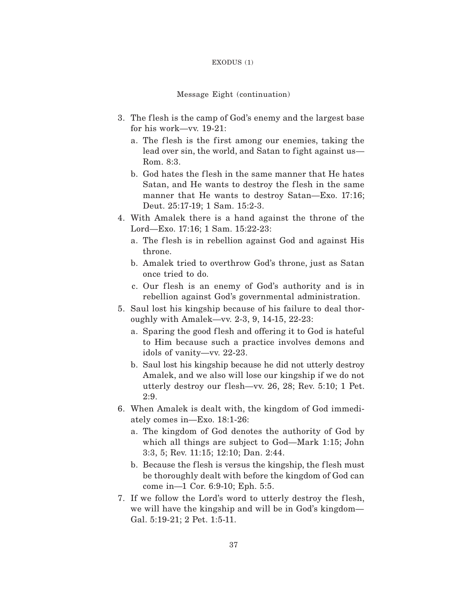#### EXODUS (1)

### Message Eight (continuation)

- 3. The flesh is the camp of God's enemy and the largest base for his work—vv. 19-21:
	- a. The flesh is the first among our enemies, taking the lead over sin, the world, and Satan to fight against us— Rom. 8:3.
	- b. God hates the flesh in the same manner that He hates Satan, and He wants to destroy the flesh in the same manner that He wants to destroy Satan—Exo. 17:16; Deut. 25:17-19; 1 Sam. 15:2-3.
- 4. With Amalek there is a hand against the throne of the Lord—Exo. 17:16; 1 Sam. 15:22-23:
	- a. The flesh is in rebellion against God and against His throne.
	- b. Amalek tried to overthrow God's throne, just as Satan once tried to do.
	- c. Our flesh is an enemy of God's authority and is in rebellion against God's governmental administration.
- 5. Saul lost his kingship because of his failure to deal thoroughly with Amalek—vv. 2-3, 9, 14-15, 22-23:
	- a. Sparing the good flesh and offering it to God is hateful to Him because such a practice involves demons and idols of vanity—vv. 22-23.
	- b. Saul lost his kingship because he did not utterly destroy Amalek, and we also will lose our kingship if we do not utterly destroy our flesh—vv.  $26$ ,  $28$ ; Rev.  $5:10$ ; 1 Pet. 2:9.
- 6. When Amalek is dealt with, the kingdom of God immediately comes in—Exo. 18:1-26:
	- a. The kingdom of God denotes the authority of God by which all things are subject to God—Mark 1:15; John 3:3, 5; Rev. 11:15; 12:10; Dan. 2:44.
	- b. Because the flesh is versus the kingship, the flesh must be thoroughly dealt with before the kingdom of God can come in—1 Cor. 6:9-10; Eph. 5:5.
- 7. If we follow the Lord's word to utterly destroy the flesh, we will have the kingship and will be in God's kingdom— Gal. 5:19-21; 2 Pet. 1:5-11.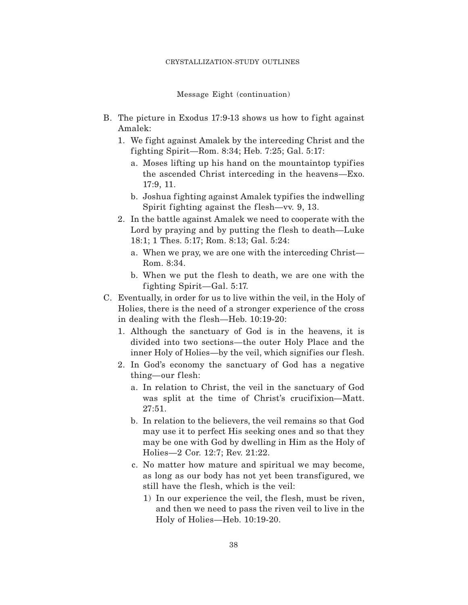Message Eight (continuation)

- B. The picture in Exodus 17:9-13 shows us how to fight against Amalek:
	- 1. We fight against Amalek by the interceding Christ and the fighting Spirit—Rom. 8:34; Heb.  $7:25$ ; Gal.  $5:17$ :
		- a. Moses lifting up his hand on the mountaintop typifies the ascended Christ interceding in the heavens—Exo. 17:9, 11.
		- b. Joshua fighting against Amalek typifies the indwelling Spirit fighting against the flesh—vv. 9, 13.
	- 2. In the battle against Amalek we need to cooperate with the Lord by praying and by putting the flesh to death—Luke 18:1; 1 Thes. 5:17; Rom. 8:13; Gal. 5:24:
		- a. When we pray, we are one with the interceding Christ— Rom. 8:34.
		- b. When we put the flesh to death, we are one with the fighting Spirit—Gal. 5:17.
- C. Eventually, in order for us to live within the veil, in the Holy of Holies, there is the need of a stronger experience of the cross in dealing with the flesh—Heb. 10:19-20:
	- 1. Although the sanctuary of God is in the heavens, it is divided into two sections—the outer Holy Place and the inner Holy of Holies—by the veil, which signifies our flesh.
	- 2. In God's economy the sanctuary of God has a negative thing—our flesh:
		- a. In relation to Christ, the veil in the sanctuary of God was split at the time of Christ's crucifixion—Matt. 27:51.
		- b. In relation to the believers, the veil remains so that God may use it to perfect His seeking ones and so that they may be one with God by dwelling in Him as the Holy of Holies—2 Cor. 12:7; Rev. 21:22.
		- c. No matter how mature and spiritual we may become, as long as our body has not yet been transfigured, we still have the flesh, which is the veil:
			- 1) In our experience the veil, the flesh, must be riven, and then we need to pass the riven veil to live in the Holy of Holies—Heb. 10:19-20.